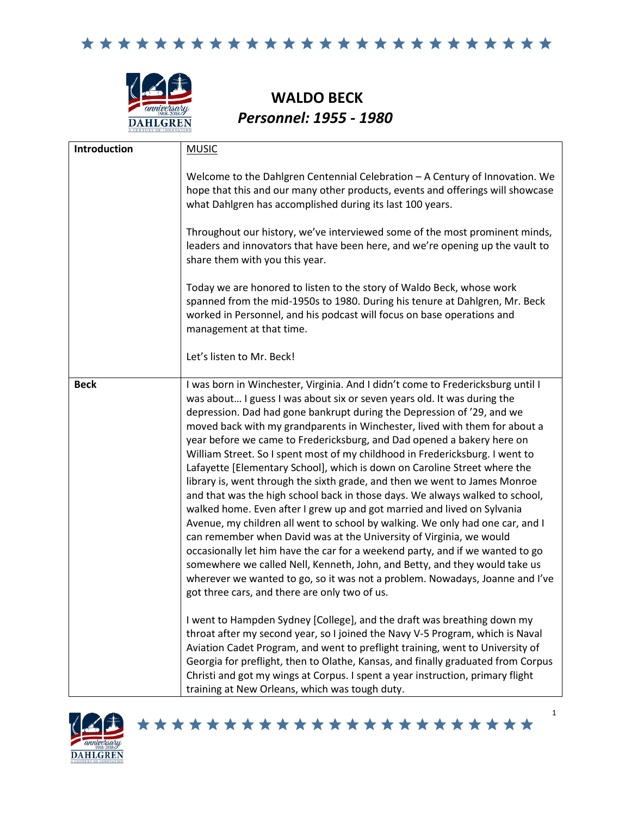

**WALDO BECK**  *Personnel: 1955 - 1980* 

| Introduction | <b>MUSIC</b>                                                                                                                                                                                                                                                                                                                                                                                                                                                                                                                                                                                                                                                                                                                                                                                                                                                                                                                                                                                                                                                                                                                                                                                                                                                                                                                                                                                                                                                                                                                                                                                                                                                                                                                    |
|--------------|---------------------------------------------------------------------------------------------------------------------------------------------------------------------------------------------------------------------------------------------------------------------------------------------------------------------------------------------------------------------------------------------------------------------------------------------------------------------------------------------------------------------------------------------------------------------------------------------------------------------------------------------------------------------------------------------------------------------------------------------------------------------------------------------------------------------------------------------------------------------------------------------------------------------------------------------------------------------------------------------------------------------------------------------------------------------------------------------------------------------------------------------------------------------------------------------------------------------------------------------------------------------------------------------------------------------------------------------------------------------------------------------------------------------------------------------------------------------------------------------------------------------------------------------------------------------------------------------------------------------------------------------------------------------------------------------------------------------------------|
|              | Welcome to the Dahlgren Centennial Celebration - A Century of Innovation. We<br>hope that this and our many other products, events and offerings will showcase<br>what Dahlgren has accomplished during its last 100 years.                                                                                                                                                                                                                                                                                                                                                                                                                                                                                                                                                                                                                                                                                                                                                                                                                                                                                                                                                                                                                                                                                                                                                                                                                                                                                                                                                                                                                                                                                                     |
|              | Throughout our history, we've interviewed some of the most prominent minds,<br>leaders and innovators that have been here, and we're opening up the vault to<br>share them with you this year.                                                                                                                                                                                                                                                                                                                                                                                                                                                                                                                                                                                                                                                                                                                                                                                                                                                                                                                                                                                                                                                                                                                                                                                                                                                                                                                                                                                                                                                                                                                                  |
|              | Today we are honored to listen to the story of Waldo Beck, whose work<br>spanned from the mid-1950s to 1980. During his tenure at Dahlgren, Mr. Beck<br>worked in Personnel, and his podcast will focus on base operations and<br>management at that time.                                                                                                                                                                                                                                                                                                                                                                                                                                                                                                                                                                                                                                                                                                                                                                                                                                                                                                                                                                                                                                                                                                                                                                                                                                                                                                                                                                                                                                                                      |
|              | Let's listen to Mr. Beck!                                                                                                                                                                                                                                                                                                                                                                                                                                                                                                                                                                                                                                                                                                                                                                                                                                                                                                                                                                                                                                                                                                                                                                                                                                                                                                                                                                                                                                                                                                                                                                                                                                                                                                       |
| <b>Beck</b>  | I was born in Winchester, Virginia. And I didn't come to Fredericksburg until I<br>was about I guess I was about six or seven years old. It was during the<br>depression. Dad had gone bankrupt during the Depression of '29, and we<br>moved back with my grandparents in Winchester, lived with them for about a<br>year before we came to Fredericksburg, and Dad opened a bakery here on<br>William Street. So I spent most of my childhood in Fredericksburg. I went to<br>Lafayette [Elementary School], which is down on Caroline Street where the<br>library is, went through the sixth grade, and then we went to James Monroe<br>and that was the high school back in those days. We always walked to school,<br>walked home. Even after I grew up and got married and lived on Sylvania<br>Avenue, my children all went to school by walking. We only had one car, and I<br>can remember when David was at the University of Virginia, we would<br>occasionally let him have the car for a weekend party, and if we wanted to go<br>somewhere we called Nell, Kenneth, John, and Betty, and they would take us<br>wherever we wanted to go, so it was not a problem. Nowadays, Joanne and I've<br>got three cars, and there are only two of us.<br>I went to Hampden Sydney [College], and the draft was breathing down my<br>throat after my second year, so I joined the Navy V-5 Program, which is Naval<br>Aviation Cadet Program, and went to preflight training, went to University of<br>Georgia for preflight, then to Olathe, Kansas, and finally graduated from Corpus<br>Christi and got my wings at Corpus. I spent a year instruction, primary flight<br>training at New Orleans, which was tough duty. |



\*\*\*\*\*\*\*\*\*\*\*\*\*\*\*\*\*\*\*\*\*\*\*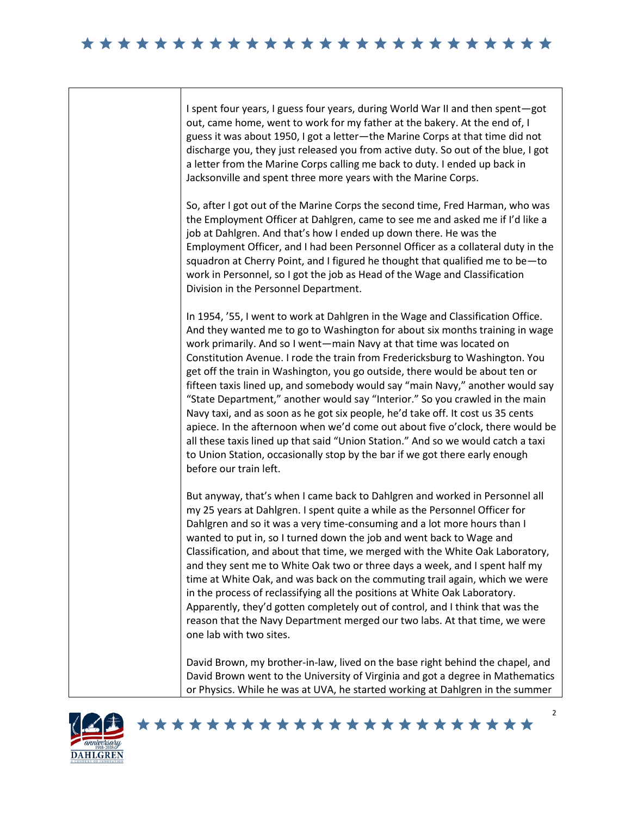I spent four years, I guess four years, during World War II and then spent—got out, came home, went to work for my father at the bakery. At the end of, I guess it was about 1950, I got a letter—the Marine Corps at that time did not discharge you, they just released you from active duty. So out of the blue, I got a letter from the Marine Corps calling me back to duty. I ended up back in Jacksonville and spent three more years with the Marine Corps.

So, after I got out of the Marine Corps the second time, Fred Harman, who was the Employment Officer at Dahlgren, came to see me and asked me if I'd like a job at Dahlgren. And that's how I ended up down there. He was the Employment Officer, and I had been Personnel Officer as a collateral duty in the squadron at Cherry Point, and I figured he thought that qualified me to be—to work in Personnel, so I got the job as Head of the Wage and Classification Division in the Personnel Department.

In 1954, '55, I went to work at Dahlgren in the Wage and Classification Office. And they wanted me to go to Washington for about six months training in wage work primarily. And so I went—main Navy at that time was located on Constitution Avenue. I rode the train from Fredericksburg to Washington. You get off the train in Washington, you go outside, there would be about ten or fifteen taxis lined up, and somebody would say "main Navy," another would say "State Department," another would say "Interior." So you crawled in the main Navy taxi, and as soon as he got six people, he'd take off. It cost us 35 cents apiece. In the afternoon when we'd come out about five o'clock, there would be all these taxis lined up that said "Union Station." And so we would catch a taxi to Union Station, occasionally stop by the bar if we got there early enough before our train left.

But anyway, that's when I came back to Dahlgren and worked in Personnel all my 25 years at Dahlgren. I spent quite a while as the Personnel Officer for Dahlgren and so it was a very time-consuming and a lot more hours than I wanted to put in, so I turned down the job and went back to Wage and Classification, and about that time, we merged with the White Oak Laboratory, and they sent me to White Oak two or three days a week, and I spent half my time at White Oak, and was back on the commuting trail again, which we were in the process of reclassifying all the positions at White Oak Laboratory. Apparently, they'd gotten completely out of control, and I think that was the reason that the Navy Department merged our two labs. At that time, we were one lab with two sites.

David Brown, my brother-in-law, lived on the base right behind the chapel, and David Brown went to the University of Virginia and got a degree in Mathematics or Physics. While he was at UVA, he started working at Dahlgren in the summer

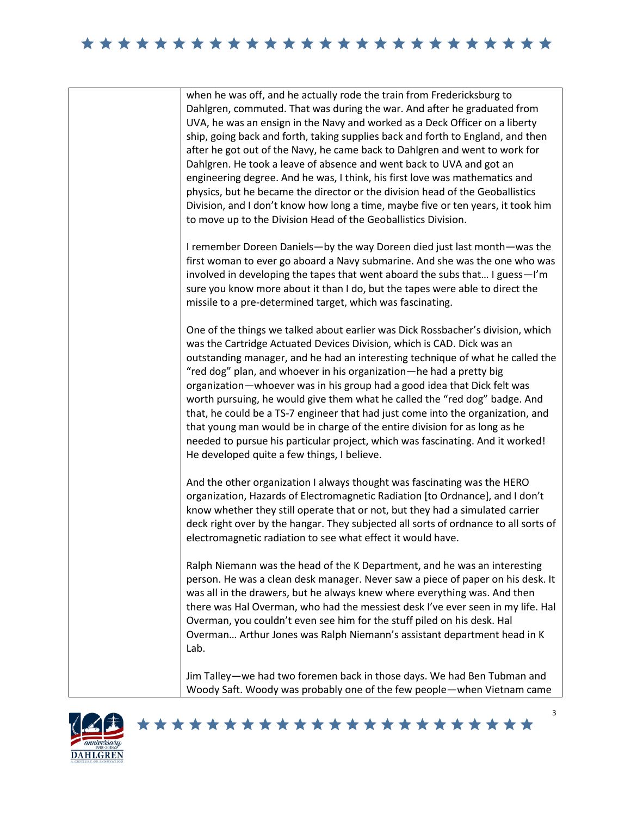| when he was off, and he actually rode the train from Fredericksburg to<br>Dahlgren, commuted. That was during the war. And after he graduated from<br>UVA, he was an ensign in the Navy and worked as a Deck Officer on a liberty<br>ship, going back and forth, taking supplies back and forth to England, and then<br>after he got out of the Navy, he came back to Dahlgren and went to work for<br>Dahlgren. He took a leave of absence and went back to UVA and got an<br>engineering degree. And he was, I think, his first love was mathematics and<br>physics, but he became the director or the division head of the Geoballistics<br>Division, and I don't know how long a time, maybe five or ten years, it took him<br>to move up to the Division Head of the Geoballistics Division. |
|---------------------------------------------------------------------------------------------------------------------------------------------------------------------------------------------------------------------------------------------------------------------------------------------------------------------------------------------------------------------------------------------------------------------------------------------------------------------------------------------------------------------------------------------------------------------------------------------------------------------------------------------------------------------------------------------------------------------------------------------------------------------------------------------------|
| I remember Doreen Daniels-by the way Doreen died just last month-was the<br>first woman to ever go aboard a Navy submarine. And she was the one who was<br>involved in developing the tapes that went aboard the subs that I guess-I'm<br>sure you know more about it than I do, but the tapes were able to direct the<br>missile to a pre-determined target, which was fascinating.                                                                                                                                                                                                                                                                                                                                                                                                              |
| One of the things we talked about earlier was Dick Rossbacher's division, which<br>was the Cartridge Actuated Devices Division, which is CAD. Dick was an<br>outstanding manager, and he had an interesting technique of what he called the<br>"red dog" plan, and whoever in his organization-he had a pretty big<br>organization-whoever was in his group had a good idea that Dick felt was<br>worth pursuing, he would give them what he called the "red dog" badge. And<br>that, he could be a TS-7 engineer that had just come into the organization, and<br>that young man would be in charge of the entire division for as long as he<br>needed to pursue his particular project, which was fascinating. And it worked!<br>He developed quite a few things, I believe.                    |
| And the other organization I always thought was fascinating was the HERO<br>organization, Hazards of Electromagnetic Radiation [to Ordnance], and I don't<br>know whether they still operate that or not, but they had a simulated carrier<br>deck right over by the hangar. They subjected all sorts of ordnance to all sorts of<br>electromagnetic radiation to see what effect it would have.                                                                                                                                                                                                                                                                                                                                                                                                  |
| Ralph Niemann was the head of the K Department, and he was an interesting<br>person. He was a clean desk manager. Never saw a piece of paper on his desk. It<br>was all in the drawers, but he always knew where everything was. And then<br>there was Hal Overman, who had the messiest desk I've ever seen in my life. Hal<br>Overman, you couldn't even see him for the stuff piled on his desk. Hal<br>Overman Arthur Jones was Ralph Niemann's assistant department head in K<br>Lab.                                                                                                                                                                                                                                                                                                        |
| Jim Talley—we had two foremen back in those days. We had Ben Tubman and<br>Woody Saft. Woody was probably one of the few people-when Vietnam came                                                                                                                                                                                                                                                                                                                                                                                                                                                                                                                                                                                                                                                 |





3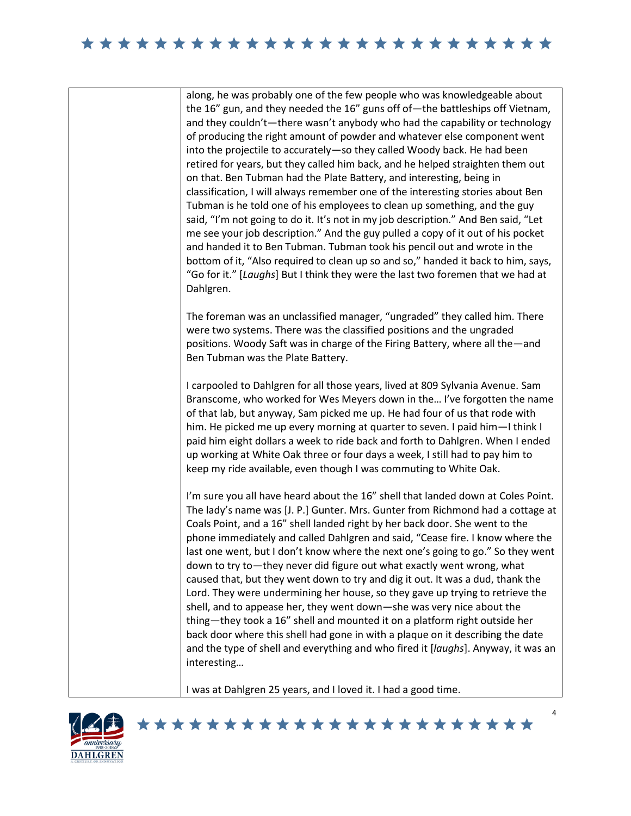along, he was probably one of the few people who was knowledgeable about the 16" gun, and they needed the 16" guns off of—the battleships off Vietnam, and they couldn't—there wasn't anybody who had the capability or technology of producing the right amount of powder and whatever else component went into the projectile to accurately—so they called Woody back. He had been retired for years, but they called him back, and he helped straighten them out on that. Ben Tubman had the Plate Battery, and interesting, being in classification, I will always remember one of the interesting stories about Ben Tubman is he told one of his employees to clean up something, and the guy said, "I'm not going to do it. It's not in my job description." And Ben said, "Let me see your job description." And the guy pulled a copy of it out of his pocket and handed it to Ben Tubman. Tubman took his pencil out and wrote in the bottom of it, "Also required to clean up so and so," handed it back to him, says, "Go for it." [*Laughs*] But I think they were the last two foremen that we had at Dahlgren.

The foreman was an unclassified manager, "ungraded" they called him. There were two systems. There was the classified positions and the ungraded positions. Woody Saft was in charge of the Firing Battery, where all the—and Ben Tubman was the Plate Battery.

I carpooled to Dahlgren for all those years, lived at 809 Sylvania Avenue. Sam Branscome, who worked for Wes Meyers down in the… I've forgotten the name of that lab, but anyway, Sam picked me up. He had four of us that rode with him. He picked me up every morning at quarter to seven. I paid him—I think I paid him eight dollars a week to ride back and forth to Dahlgren. When I ended up working at White Oak three or four days a week, I still had to pay him to keep my ride available, even though I was commuting to White Oak.

I'm sure you all have heard about the 16" shell that landed down at Coles Point. The lady's name was [J. P.] Gunter. Mrs. Gunter from Richmond had a cottage at Coals Point, and a 16" shell landed right by her back door. She went to the phone immediately and called Dahlgren and said, "Cease fire. I know where the last one went, but I don't know where the next one's going to go." So they went down to try to—they never did figure out what exactly went wrong, what caused that, but they went down to try and dig it out. It was a dud, thank the Lord. They were undermining her house, so they gave up trying to retrieve the shell, and to appease her, they went down—she was very nice about the thing—they took a 16" shell and mounted it on a platform right outside her back door where this shell had gone in with a plaque on it describing the date and the type of shell and everything and who fired it [*laughs*]. Anyway, it was an interesting…

4

I was at Dahlgren 25 years, and I loved it. I had a good time.

\*\*\*\*\*\*\*\*\*\*\*\*\*\*\*\*\*\*\*\*\*\*\*

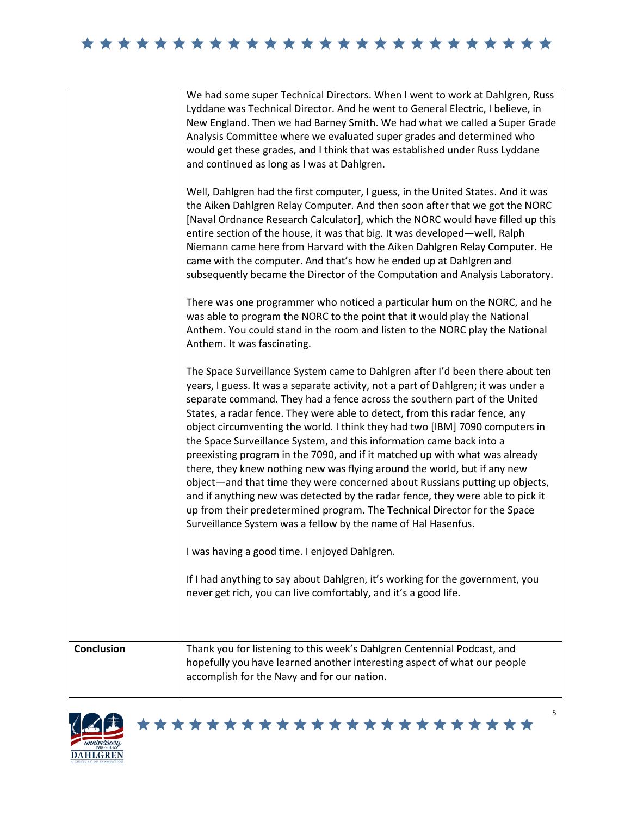|                   | We had some super Technical Directors. When I went to work at Dahlgren, Russ<br>Lyddane was Technical Director. And he went to General Electric, I believe, in<br>New England. Then we had Barney Smith. We had what we called a Super Grade<br>Analysis Committee where we evaluated super grades and determined who<br>would get these grades, and I think that was established under Russ Lyddane<br>and continued as long as I was at Dahlgren.                                                                                                                                                                                                                                                                                                                                                                                                                                                                                                               |
|-------------------|-------------------------------------------------------------------------------------------------------------------------------------------------------------------------------------------------------------------------------------------------------------------------------------------------------------------------------------------------------------------------------------------------------------------------------------------------------------------------------------------------------------------------------------------------------------------------------------------------------------------------------------------------------------------------------------------------------------------------------------------------------------------------------------------------------------------------------------------------------------------------------------------------------------------------------------------------------------------|
|                   | Well, Dahlgren had the first computer, I guess, in the United States. And it was<br>the Aiken Dahlgren Relay Computer. And then soon after that we got the NORC<br>[Naval Ordnance Research Calculator], which the NORC would have filled up this<br>entire section of the house, it was that big. It was developed—well, Ralph<br>Niemann came here from Harvard with the Aiken Dahlgren Relay Computer. He<br>came with the computer. And that's how he ended up at Dahlgren and<br>subsequently became the Director of the Computation and Analysis Laboratory.                                                                                                                                                                                                                                                                                                                                                                                                |
|                   | There was one programmer who noticed a particular hum on the NORC, and he<br>was able to program the NORC to the point that it would play the National<br>Anthem. You could stand in the room and listen to the NORC play the National<br>Anthem. It was fascinating.                                                                                                                                                                                                                                                                                                                                                                                                                                                                                                                                                                                                                                                                                             |
|                   | The Space Surveillance System came to Dahlgren after I'd been there about ten<br>years, I guess. It was a separate activity, not a part of Dahlgren; it was under a<br>separate command. They had a fence across the southern part of the United<br>States, a radar fence. They were able to detect, from this radar fence, any<br>object circumventing the world. I think they had two [IBM] 7090 computers in<br>the Space Surveillance System, and this information came back into a<br>preexisting program in the 7090, and if it matched up with what was already<br>there, they knew nothing new was flying around the world, but if any new<br>object—and that time they were concerned about Russians putting up objects,<br>and if anything new was detected by the radar fence, they were able to pick it<br>up from their predetermined program. The Technical Director for the Space<br>Surveillance System was a fellow by the name of Hal Hasenfus. |
|                   | I was having a good time. I enjoyed Dahlgren.                                                                                                                                                                                                                                                                                                                                                                                                                                                                                                                                                                                                                                                                                                                                                                                                                                                                                                                     |
|                   | If I had anything to say about Dahlgren, it's working for the government, you<br>never get rich, you can live comfortably, and it's a good life.                                                                                                                                                                                                                                                                                                                                                                                                                                                                                                                                                                                                                                                                                                                                                                                                                  |
| <b>Conclusion</b> | Thank you for listening to this week's Dahlgren Centennial Podcast, and<br>hopefully you have learned another interesting aspect of what our people<br>accomplish for the Navy and for our nation.                                                                                                                                                                                                                                                                                                                                                                                                                                                                                                                                                                                                                                                                                                                                                                |